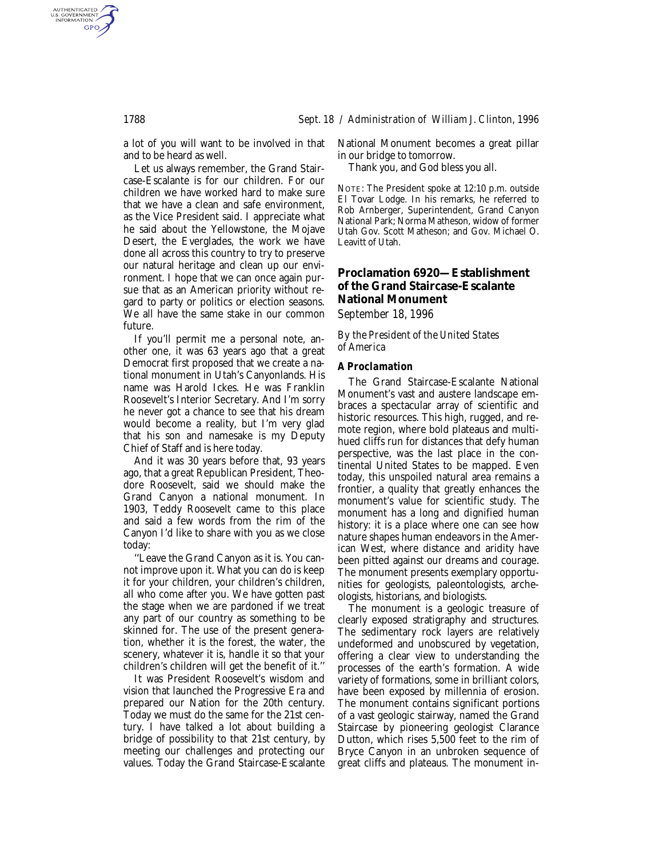a lot of you will want to be involved in that and to be heard as well.

Let us always remember, the Grand Staircase-Escalante is for our children. For our children we have worked hard to make sure that we have a clean and safe environment, as the Vice President said. I appreciate what he said about the Yellowstone, the Mojave Desert, the Everglades, the work we have done all across this country to try to preserve our natural heritage and clean up our environment. I hope that we can once again pursue that as an American priority without regard to party or politics or election seasons. We all have the same stake in our common future.

If you'll permit me a personal note, another one, it was 63 years ago that a great Democrat first proposed that we create a national monument in Utah's Canyonlands. His name was Harold Ickes. He was Franklin Roosevelt's Interior Secretary. And I'm sorry he never got a chance to see that his dream would become a reality, but I'm very glad that his son and namesake is my Deputy Chief of Staff and is here today.

And it was 30 years before that, 93 years ago, that a great Republican President, Theodore Roosevelt, said we should make the Grand Canyon a national monument. In 1903, Teddy Roosevelt came to this place and said a few words from the rim of the Canyon I'd like to share with you as we close today:

''Leave the Grand Canyon as it is. You cannot improve upon it. What you can do is keep it for your children, your children's children, all who come after you. We have gotten past the stage when we are pardoned if we treat any part of our country as something to be skinned for. The use of the present generation, whether it is the forest, the water, the scenery, whatever it is, handle it so that your children's children will get the benefit of it.''

It was President Roosevelt's wisdom and vision that launched the Progressive Era and prepared our Nation for the 20th century. Today we must do the same for the 21st century. I have talked a lot about building a bridge of possibility to that 21st century, by meeting our challenges and protecting our values. Today the Grand Staircase-Escalante National Monument becomes a great pillar in our bridge to tomorrow.

Thank you, and God bless you all.

NOTE: The President spoke at 12:10 p.m. outside El Tovar Lodge. In his remarks, he referred to Rob Arnberger, Superintendent, Grand Canyon National Park; Norma Matheson, widow of former Utah Gov. Scott Matheson; and Gov. Michael O. Leavitt of Utah.

# **Proclamation 6920—Establishment of the Grand Staircase-Escalante National Monument**

*September 18, 1996*

*By the President of the United States of America*

### *A Proclamation*

The Grand Staircase-Escalante National Monument's vast and austere landscape embraces a spectacular array of scientific and historic resources. This high, rugged, and remote region, where bold plateaus and multihued cliffs run for distances that defy human perspective, was the last place in the continental United States to be mapped. Even today, this unspoiled natural area remains a frontier, a quality that greatly enhances the monument's value for scientific study. The monument has a long and dignified human history: it is a place where one can see how nature shapes human endeavors in the American West, where distance and aridity have been pitted against our dreams and courage. The monument presents exemplary opportunities for geologists, paleontologists, archeologists, historians, and biologists.

The monument is a geologic treasure of clearly exposed stratigraphy and structures. The sedimentary rock layers are relatively undeformed and unobscured by vegetation, offering a clear view to understanding the processes of the earth's formation. A wide variety of formations, some in brilliant colors, have been exposed by millennia of erosion. The monument contains significant portions of a vast geologic stairway, named the Grand Staircase by pioneering geologist Clarance Dutton, which rises 5,500 feet to the rim of Bryce Canyon in an unbroken sequence of great cliffs and plateaus. The monument in-

AUTHENTICATED<br>U.S. GOVERNMENT<br>INFORMATION GPO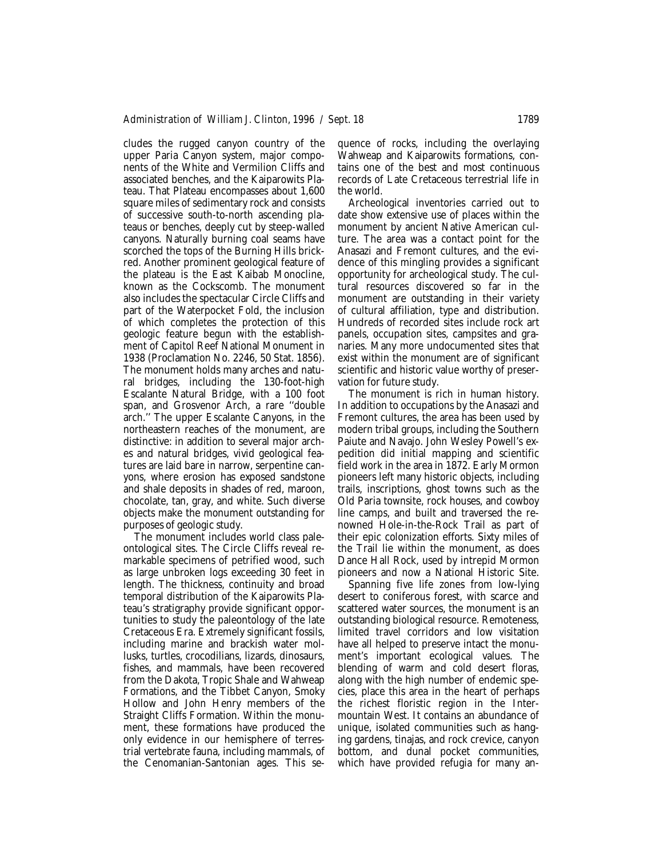cludes the rugged canyon country of the upper Paria Canyon system, major components of the White and Vermilion Cliffs and associated benches, and the Kaiparowits Plateau. That Plateau encompasses about 1,600 square miles of sedimentary rock and consists of successive south-to-north ascending plateaus or benches, deeply cut by steep-walled canyons. Naturally burning coal seams have scorched the tops of the Burning Hills brickred. Another prominent geological feature of the plateau is the East Kaibab Monocline, known as the Cockscomb. The monument also includes the spectacular Circle Cliffs and part of the Waterpocket Fold, the inclusion of which completes the protection of this geologic feature begun with the establishment of Capitol Reef National Monument in 1938 (Proclamation No. 2246, 50 Stat. 1856). The monument holds many arches and natural bridges, including the 130-foot-high Escalante Natural Bridge, with a 100 foot span, and Grosvenor Arch, a rare ''double arch.'' The upper Escalante Canyons, in the northeastern reaches of the monument, are distinctive: in addition to several major arches and natural bridges, vivid geological features are laid bare in narrow, serpentine canyons, where erosion has exposed sandstone and shale deposits in shades of red, maroon, chocolate, tan, gray, and white. Such diverse objects make the monument outstanding for purposes of geologic study.

The monument includes world class paleontological sites. The Circle Cliffs reveal remarkable specimens of petrified wood, such as large unbroken logs exceeding 30 feet in length. The thickness, continuity and broad temporal distribution of the Kaiparowits Plateau's stratigraphy provide significant opportunities to study the paleontology of the late Cretaceous Era. Extremely significant fossils, including marine and brackish water mollusks, turtles, crocodilians, lizards, dinosaurs, fishes, and mammals, have been recovered from the Dakota, Tropic Shale and Wahweap Formations, and the Tibbet Canyon, Smoky Hollow and John Henry members of the Straight Cliffs Formation. Within the monument, these formations have produced the only evidence in our hemisphere of terrestrial vertebrate fauna, including mammals, of the Cenomanian-Santonian ages. This sequence of rocks, including the overlaying Wahweap and Kaiparowits formations, contains one of the best and most continuous records of Late Cretaceous terrestrial life in the world.

Archeological inventories carried out to date show extensive use of places within the monument by ancient Native American culture. The area was a contact point for the Anasazi and Fremont cultures, and the evidence of this mingling provides a significant opportunity for archeological study. The cultural resources discovered so far in the monument are outstanding in their variety of cultural affiliation, type and distribution. Hundreds of recorded sites include rock art panels, occupation sites, campsites and granaries. Many more undocumented sites that exist within the monument are of significant scientific and historic value worthy of preservation for future study.

The monument is rich in human history. In addition to occupations by the Anasazi and Fremont cultures, the area has been used by modern tribal groups, including the Southern Paiute and Navajo. John Wesley Powell's expedition did initial mapping and scientific field work in the area in 1872. Early Mormon pioneers left many historic objects, including trails, inscriptions, ghost towns such as the Old Paria townsite, rock houses, and cowboy line camps, and built and traversed the renowned Hole-in-the-Rock Trail as part of their epic colonization efforts. Sixty miles of the Trail lie within the monument, as does Dance Hall Rock, used by intrepid Mormon pioneers and now a National Historic Site.

Spanning five life zones from low-lying desert to coniferous forest, with scarce and scattered water sources, the monument is an outstanding biological resource. Remoteness, limited travel corridors and low visitation have all helped to preserve intact the monument's important ecological values. The blending of warm and cold desert floras, along with the high number of endemic species, place this area in the heart of perhaps the richest floristic region in the Intermountain West. It contains an abundance of unique, isolated communities such as hanging gardens, tinajas, and rock crevice, canyon bottom, and dunal pocket communities, which have provided refugia for many an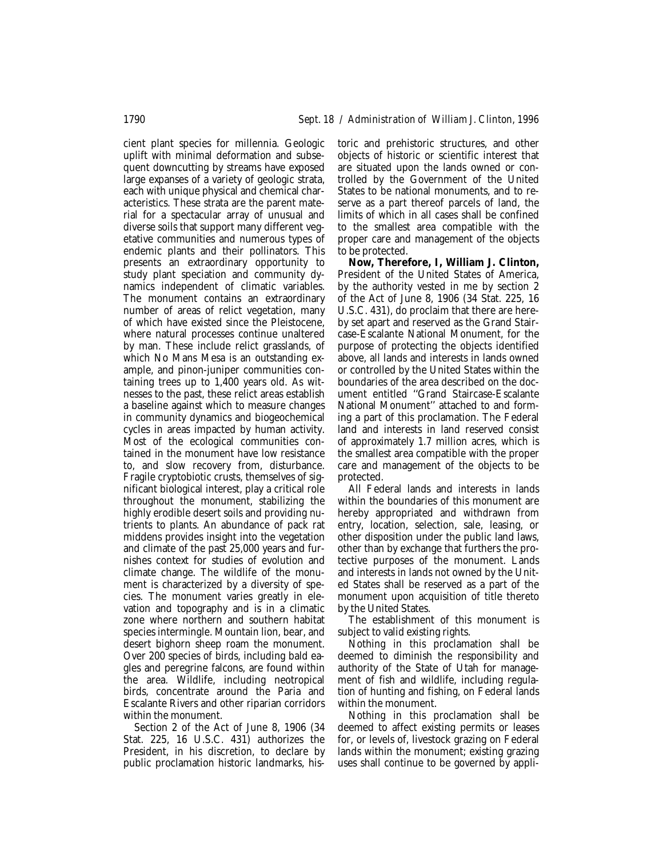cient plant species for millennia. Geologic uplift with minimal deformation and subsequent downcutting by streams have exposed large expanses of a variety of geologic strata, each with unique physical and chemical characteristics. These strata are the parent material for a spectacular array of unusual and diverse soils that support many different vegetative communities and numerous types of endemic plants and their pollinators. This presents an extraordinary opportunity to study plant speciation and community dynamics independent of climatic variables. The monument contains an extraordinary number of areas of relict vegetation, many of which have existed since the Pleistocene, where natural processes continue unaltered by man. These include relict grasslands, of which No Mans Mesa is an outstanding example, and pinon-juniper communities containing trees up to 1,400 years old. As witnesses to the past, these relict areas establish a baseline against which to measure changes in community dynamics and biogeochemical cycles in areas impacted by human activity. Most of the ecological communities contained in the monument have low resistance to, and slow recovery from, disturbance. Fragile cryptobiotic crusts, themselves of significant biological interest, play a critical role throughout the monument, stabilizing the highly erodible desert soils and providing nutrients to plants. An abundance of pack rat middens provides insight into the vegetation and climate of the past 25,000 years and furnishes context for studies of evolution and climate change. The wildlife of the monument is characterized by a diversity of species. The monument varies greatly in elevation and topography and is in a climatic zone where northern and southern habitat species intermingle. Mountain lion, bear, and desert bighorn sheep roam the monument. Over 200 species of birds, including bald eagles and peregrine falcons, are found within the area. Wildlife, including neotropical birds, concentrate around the Paria and Escalante Rivers and other riparian corridors within the monument.

Section 2 of the Act of June 8, 1906 (34 Stat. 225, 16 U.S.C. 431) authorizes the President, in his discretion, to declare by public proclamation historic landmarks, his-

toric and prehistoric structures, and other objects of historic or scientific interest that are situated upon the lands owned or controlled by the Government of the United States to be national monuments, and to reserve as a part thereof parcels of land, the limits of which in all cases shall be confined to the smallest area compatible with the proper care and management of the objects to be protected.

**Now, Therefore, I, William J. Clinton,** President of the United States of America, by the authority vested in me by section 2 of the Act of June 8, 1906 (34 Stat. 225, 16 U.S.C. 431), do proclaim that there are hereby set apart and reserved as the Grand Staircase-Escalante National Monument, for the purpose of protecting the objects identified above, all lands and interests in lands owned or controlled by the United States within the boundaries of the area described on the document entitled ''Grand Staircase-Escalante National Monument'' attached to and forming a part of this proclamation. The Federal land and interests in land reserved consist of approximately 1.7 million acres, which is the smallest area compatible with the proper care and management of the objects to be protected.

All Federal lands and interests in lands within the boundaries of this monument are hereby appropriated and withdrawn from entry, location, selection, sale, leasing, or other disposition under the public land laws, other than by exchange that furthers the protective purposes of the monument. Lands and interests in lands not owned by the United States shall be reserved as a part of the monument upon acquisition of title thereto by the United States.

The establishment of this monument is subject to valid existing rights.

Nothing in this proclamation shall be deemed to diminish the responsibility and authority of the State of Utah for management of fish and wildlife, including regulation of hunting and fishing, on Federal lands within the monument.

Nothing in this proclamation shall be deemed to affect existing permits or leases for, or levels of, livestock grazing on Federal lands within the monument; existing grazing uses shall continue to be governed by appli